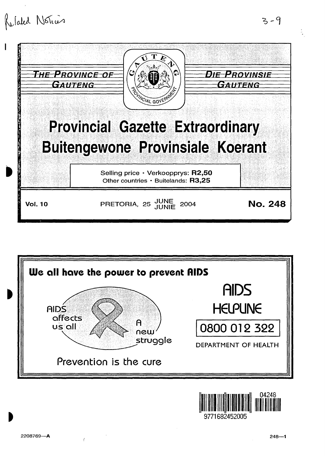





 $3 - 9$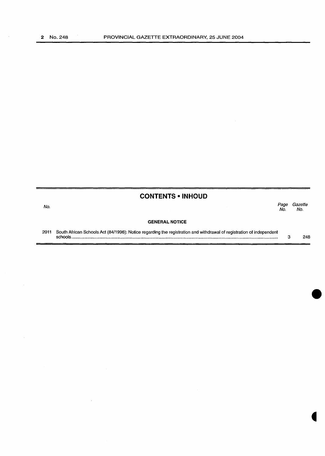## **CONTENTS • INHOUD**

 $\mathcal{L}_{\mathcal{A}}$ 

 $\sim$ 

l,

#### No. Page Gazette No. No.

#### **GENERAL NOTICE**

2011 South African Schools Act (84/1996): Notice regarding the registration and withdrawal of registration of independent schools .......................................................................................................................................................................... . 3 248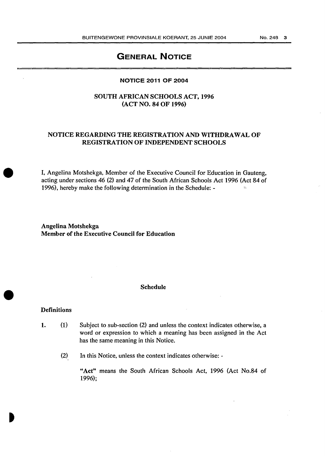## GENERAL NOTICE

#### NOTICE 2011 OF 2004

## SOUTH AFRICAN SCHOOLS ACT, 1996 (ACT NO. 84 OF 1996)

## NOTICE REGARDING THE REGISTRATION AND WITHDRAWAL OF REGISTRATION OF INDEPENDENT SCHOOLS

I, Angelina Motshekga, Member of the Executive Council for Education in Gauteng, acting under sections 46 (2) and 47 of the South African Schools Act 1996 (Act 84 of 1996), hereby make the following determination in the Schedule: -

Angelina Motshekga Member of the Executive Council for Education

#### Schedule

#### Definitions

- 1.  $(1)$ Subject to sub-section (2) and unless the context indicates otherwise, a word or expression to which a meaning has been assigned in the Act has the same meaning in this Notice.
	- (2) In this Notice, unless the context indicates otherwise: -

"Act" means the South African Schools Act, 1996 (Act No.84 of 1996);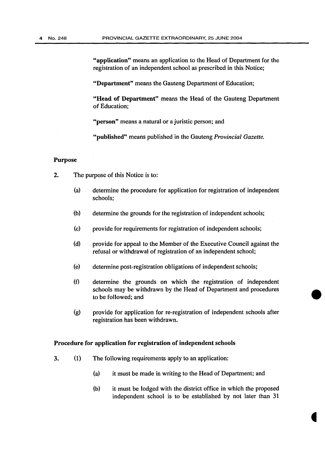"application" means an application to the Head of Department for the registration of an independent school as prescribed in this Notice;

"Department" means the Gauteng Department of Education;

"Head of Department" means the Head of the Gauteng Department of Education;

"person" means a natural or a juristic person; and

"published" means published in the Gauteng *Provincial Gazette.* 

#### Purpose

- 2. The purpose of this Notice is to:
	- (a) determine the procedure for application for registration of independent schools;
	- (b) determine the grounds for the registration of independent schools;
	- (c) provide for requirements for registration of independent schools;
	- (d) provide for appeal to the Member of the Executive Council against the refusal or withdrawal of registration of an independent school;
	- (e) determine post-registration obligations of independent schools;
	- (f) determine the grounds on which the registration of independent schools may be withdrawn by the Head of Department and procedures to be followed; and
	- (g) provide for application for re-registration of independent schools after registration has been withdrawn.

#### Procedure for application for registration of independent schools

- 3. (1) The following requirements apply to an application:
	- (a) it must be made in writing to the Head of Department; and
	- (b) it must be lodged with the district office in which the proposed independent school is to be established by not later than 31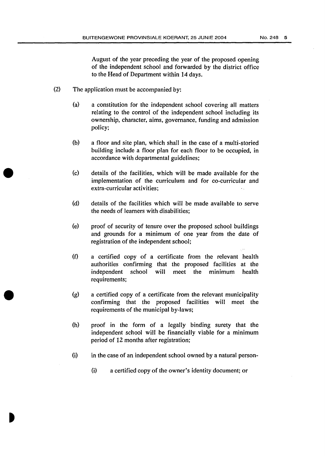August of the year preceding the year of the proposed opening of the independent school and forwarded by the district office to the Head of Department within 14 days.

- (2) The application must be accompanied by:
	- (a) a constitution for the independent school covering all matters relating to the control of the independent school including its ownership, character, aims, governance, funding and admission policy;
	- (b) a floor and site plan, which shall in the case of a multi-storied building include a floor plan for each floor to be occupied, in accordance with departmental guidelines;
	- (c) details of the facilities, which will be made available for the implementation of the curriculum and for co-curricular and extra-curricular activities;
	- (d) details of the facilities which will be made available to serve the needs of learners with disabilities;
	- (e) proof of security of tenure over the proposed school buildings and grounds for a minimum of one year from the date of registration of the independent school;
	- (f) a certified copy of a certificate from the relevant health authorities confirming that the proposed facilities at the independent school will meet the minimum health requirements;
	- (g) a certified copy of a certificate from the relevant municipality confirming that the proposed facilities will meet the requirements of the municipal by-laws;
	- (h) proof in the form of a legally binding surety that the independent school will be financially viable for a minimum period of 12 months after registration;
	- (i) in the case of an independent school owned by a natural person-
		- (i) a certified copy of the owner's identity document; or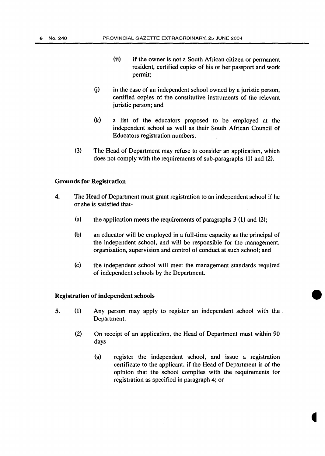- (ii) if the owner is not a South African citizen or permanent resident, certified copies of his or her passport and work permit;
- $(i)$  in the case of an independent school owned by a juristic person, certified copies of the constitutive instruments of the relevant juristic person; and
- (k) a Jist of the educators proposed to be employed at the independent school as well as their South African Council of Educators registration numbers.
- (3) The Head of Department may refuse to consider an application, which does not comply with the requirements of sub-paragraphs (1) and (2).

### Grounds for Registration

- 4. The Head of Department must grant registration to an independent school if he or she is satisfied that-
	- (a) the application meets the requirements of paragraphs  $3$  (1) and (2);
	- (b) an educator will be employed in a full-time capacity as the principal of the independent school, and will be responsible for the management, organisation, supervision and control of conduct at such school; and
	- (c) the independent school will meet the management standards required of independent schools by the Department.

#### Registration of independent schools

- 5. (1) Any person may apply to register an independent school with the Department.
	- (2) On receipt of an application, the Head of Department must within 90 days-
		- (a) register the independent school, and issue a registration certificate to the applicant, if the Head of Department is of the opinion that the school complies with the requirements for registration as specified in paragraph 4; or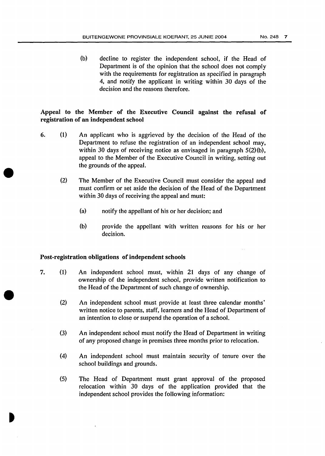(b) decline to register the independent school, if the Head of Department is of the opinion that the school does not comply with the requirements for registration as specified in paragraph 4, and notify the applicant in writing within 30 days of the decision and the reasons therefore.

## Appeal to the Member of the Executive Council against the refusal of registration of an independent school

- 6. (1) An applicant who is aggrieved by the decision of the Head of the Department to refuse the registration of an independent school may, within 30 days of receiving notice as envisaged in paragraph 5(2)(b), appeal to the Member of the Executive Council in writing, setting out the grounds of the appeal.
	- (2) The Member of the Executive Council must consider the appeal and must confirm or set aside the decision of the Head of the Department within 30 days of receiving the appeal and must:
		- (a) notify the appellant of his or her decision; and
		- (b) provide the appellant with written reasons for his or her decision.

### Post-registration obligations of independent schools

- 7. (1) An independent school must, within 21 days of any change of ownership of the independent school, provide written notification to the Head of the Department of such change of ownership.
	- (2) An independent school must provide at least three calendar months' written notice to parents, staff, learners and the Head of Department of an intention to close or suspend the operation of a school.
	- (3) An independent school must notify the Head of Department in writing of any proposed change in premises three months prior to relocation.
	- (4) An independent school must maintain security of tenure over the school buildings and grounds.
	- (5) The Head of Department must grant approval of the proposed relocation within 30 days of the application provided that the independent school provides the following information: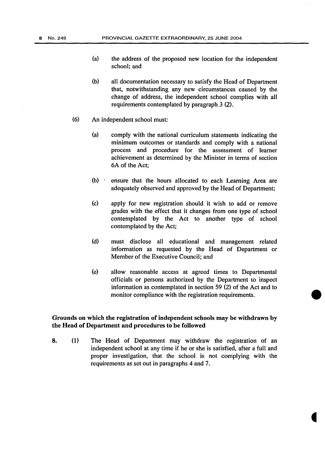- (a) the address of the proposed new location for the independent school; and
- (b) all documentation necessary to satisfy the Head of Department that, notwithstanding any new circumstances caused by the change of address, the independent school complies with all requirements contemplated by paragraph 3 (2).
- (6) An independent school must:
	- (a) comply with the national curriculum statements indicating the minimum outcomes or standards and comply with a national process and procedure for the assessment of learner achievement as determined by the Minister in terms of section 6A of the Act;
	- (b) · ensure that the hours allocated to each Learning Area are adequately observed and approved by the Head of Department;
	- (c) apply for new registration should it wish to add or remove grades with the effect that it changes from one type of school contemplated by the Act to another type of school contemplated by the Act;
	- (d) must disclose all educational and management related information as requested by the Head of Department or Member of the Executive Council; and
	- (e) allow reasonable access at agreed times to Departmental officials or persons authorized by the Department to inspect information as contemplated in section 59 (2) of the Act and to monitor compliance with the registration requirements.

### Grounds on which the registration of independent schools may be withdrawn by the Head of Department and procedures to be followed

8. (1) The Head of Department may withdraw the registration of an independent school at any time if he or she is satisfied, after a full and proper investigation, that the school is not complying with the requirements as set out in paragraphs 4 and 7.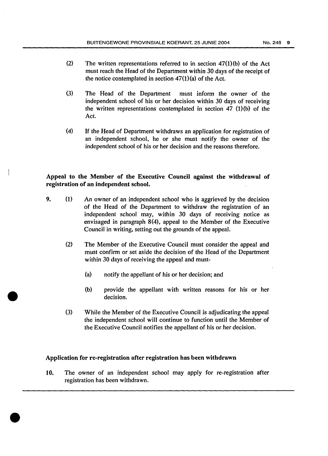- (2) The written representations referred to in section  $47(1)(b)$  of the Act must reach the Head of the Department within 30 days of the receipt of the notice contemplated in section  $47(1)(a)$  of the Act.
- (3) The Head of the Department must inform the owner of the independent school of his or her decision within 30 days of receiving the written representations contemplated in section  $47 \text{ (1)(b)}$  of the Act.
- (4) If the Head of Department withdraws an application for registration of an independent school, he or she must notify the owner of the independent school of his or her decision and the reasons therefore.

## Appeal to the Member of the Executive Council against the withdrawal of registration of an independent school.

- 9. (1) An owner of an independent school who is aggrieved by the decision of the Head of the Department to withdraw the registration of an independent school may, within 30 days of receiving notice as envisaged in paragraph 8(4), appeal to the Member of the Executive Council in writing, setting out the grounds of the appeal.
	- (2) The Member of the Executive Council must consider the appeal and must confirm or set aside the decision of the Head of the Department within 30 days of receiving the appeal and must-
		- (a) notify the appellant of his or her decision; and
		- (b) provide the appellant with written reasons for his or her decision.
	- (3) While the Member of the Executive Council is adjudicating the appeal the independent school will continue to function until the Member of the Executive Council notifies the appellant of his or her decision.

#### Application for re-registration after registration has been withdrawn

10. The owner of an independent school may apply for re-registration after registration has been withdrawn.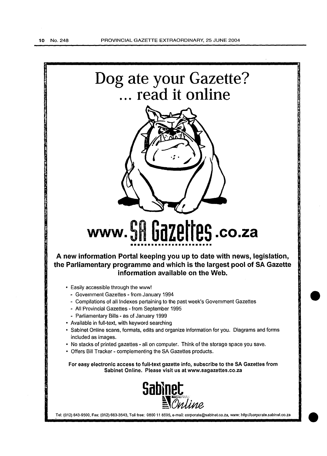

**Sablnet** ~0~

Tel: (012) 643-9500, Fax: (012) 663-3543, Toll free: 0800 11 8595, e-mail: corporate@sabinet.co.za, www: http://corporate.sabinet.co.za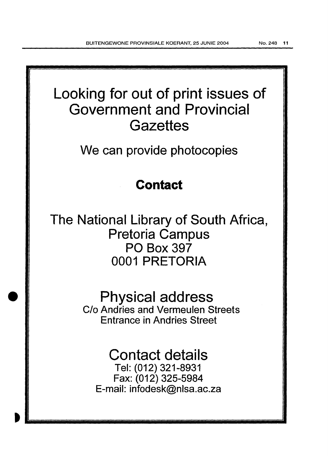Looking for out of print issues of Government and Provincial **Gazettes** 

We can provide photocopies

## **Contact**

The National Library of South Africa, Pretoria Campus PO Box 397 0001 PRETORIA

> Physical address C/o Andries and Vermeulen Streets Entrance in Andries Street

# Contact details

Tel: (012) 321-8931 Fax: (012) 325-5984 E-mail: infodesk@nlsa.ac.za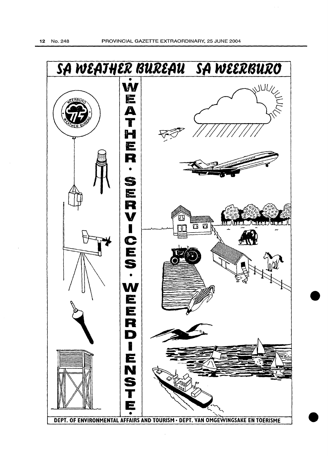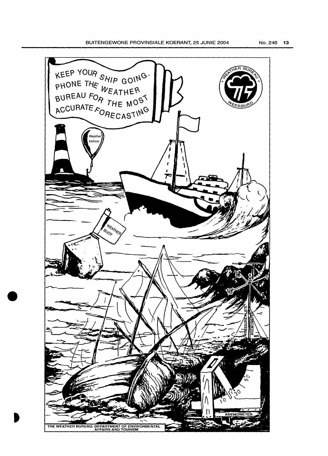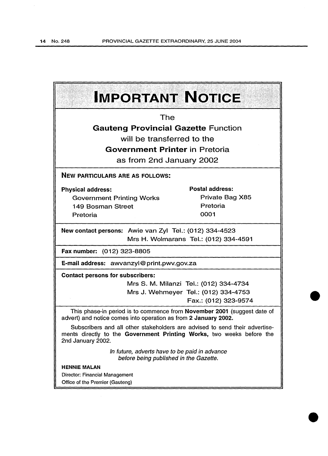| <b>IMPORTANT NOTICE</b>                                                                                                                                                   |                                        |
|---------------------------------------------------------------------------------------------------------------------------------------------------------------------------|----------------------------------------|
| The                                                                                                                                                                       |                                        |
| <b>Gauteng Provincial Gazette Function</b>                                                                                                                                |                                        |
| will be transferred to the                                                                                                                                                |                                        |
| <b>Government Printer in Pretoria</b>                                                                                                                                     |                                        |
| as from 2nd January 2002                                                                                                                                                  |                                        |
| <b>NEW PARTICULARS ARE AS FOLLOWS:</b>                                                                                                                                    |                                        |
| <b>Physical address:</b>                                                                                                                                                  | <b>Postal address:</b>                 |
| <b>Government Printing Works</b>                                                                                                                                          | Private Bag X85                        |
| 149 Bosman Street                                                                                                                                                         | Pretoria                               |
| Pretoria                                                                                                                                                                  | 0001                                   |
| New contact persons: Awie van Zyl Tel.: (012) 334-4523<br>Mrs H. Wolmarans Tel.: (012) 334-4591                                                                           |                                        |
| Fax number: (012) 323-8805                                                                                                                                                |                                        |
| E-mail address: awvanzyl@print.pwv.gov.za                                                                                                                                 |                                        |
| <b>Contact persons for subscribers:</b>                                                                                                                                   |                                        |
|                                                                                                                                                                           | Mrs S. M. Milanzi Tel.: (012) 334-4734 |
|                                                                                                                                                                           | Mrs J. Wehmeyer Tel.: (012) 334-4753   |
|                                                                                                                                                                           | Fax.: (012) 323-9574                   |
| This phase-in period is to commence from November 2001 (suggest date of<br>advert) and notice comes into operation as from 2 January 2002.                                |                                        |
| Subscribers and all other stakeholders are advised to send their advertise-<br>ments directly to the Government Printing Works, two weeks before the<br>2nd January 2002. |                                        |
| In future, adverts have to be paid in advance<br>before being published in the Gazette.                                                                                   |                                        |
| <b>HENNIE MALAN</b>                                                                                                                                                       |                                        |
| Director: Financial Management                                                                                                                                            |                                        |
| Office of the Premier (Gauteng)                                                                                                                                           |                                        |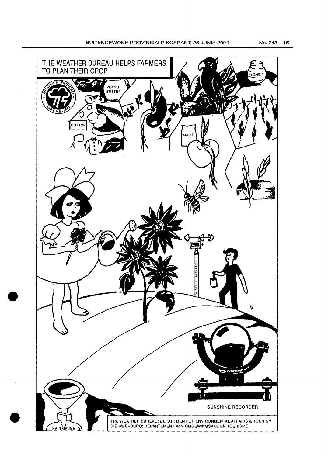